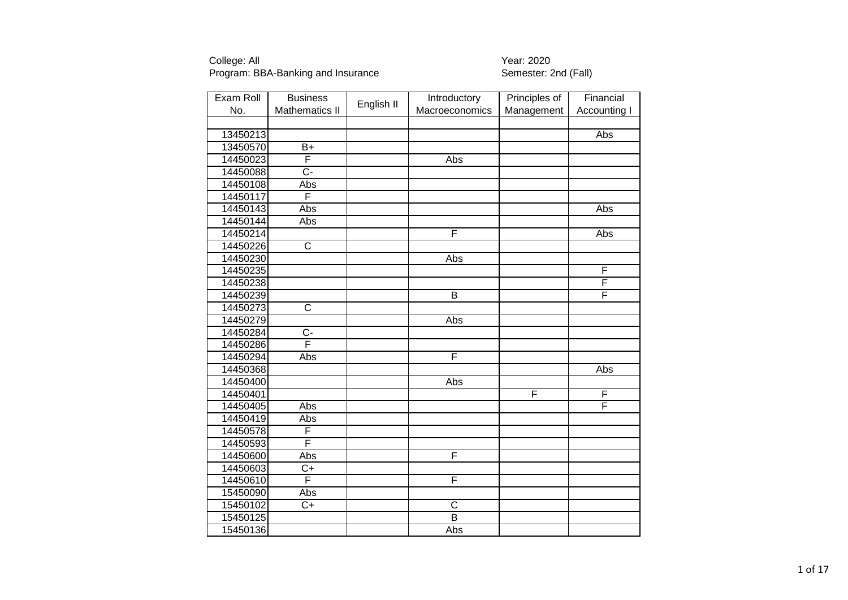| Exam Roll | <b>Business</b>         |            | Introductory            | Principles of | Financial    |
|-----------|-------------------------|------------|-------------------------|---------------|--------------|
| No.       | <b>Mathematics II</b>   | English II | Macroeconomics          | Management    | Accounting I |
|           |                         |            |                         |               |              |
| 13450213  |                         |            |                         |               | Abs          |
| 13450570  | $\overline{B+}$         |            |                         |               |              |
| 14450023  | F                       |            | Abs                     |               |              |
| 14450088  | $\overline{C}$ -        |            |                         |               |              |
| 14450108  | Abs                     |            |                         |               |              |
| 14450117  | F                       |            |                         |               |              |
| 14450143  | Abs                     |            |                         |               | Abs          |
| 14450144  | Abs                     |            |                         |               |              |
| 14450214  |                         |            | F                       |               | Abs          |
| 14450226  | $\overline{C}$          |            |                         |               |              |
| 14450230  |                         |            | Abs                     |               |              |
| 14450235  |                         |            |                         |               | F            |
| 14450238  |                         |            |                         |               | F            |
| 14450239  |                         |            | $\overline{B}$          |               | F            |
| 14450273  | $\overline{\text{c}}$   |            |                         |               |              |
| 14450279  |                         |            | Abs                     |               |              |
| 14450284  | $\overline{C}$          |            |                         |               |              |
| 14450286  | $\overline{\mathsf{F}}$ |            |                         |               |              |
| 14450294  | Abs                     |            | F                       |               |              |
| 14450368  |                         |            |                         |               | Abs          |
| 14450400  |                         |            | Abs                     |               |              |
| 14450401  |                         |            |                         | F             | F            |
| 14450405  | Abs                     |            |                         |               | F            |
| 14450419  | Abs                     |            |                         |               |              |
| 14450578  | F                       |            |                         |               |              |
| 14450593  | F                       |            |                         |               |              |
| 14450600  | Abs                     |            | $\overline{\mathsf{F}}$ |               |              |
| 14450603  | $\overline{C+}$         |            |                         |               |              |
| 14450610  | F                       |            | F                       |               |              |
| 15450090  | Abs                     |            |                         |               |              |
| 15450102  | $\overline{C+}$         |            | C                       |               |              |
| 15450125  |                         |            | $\overline{\mathsf{B}}$ |               |              |
| 15450136  |                         |            | Abs                     |               |              |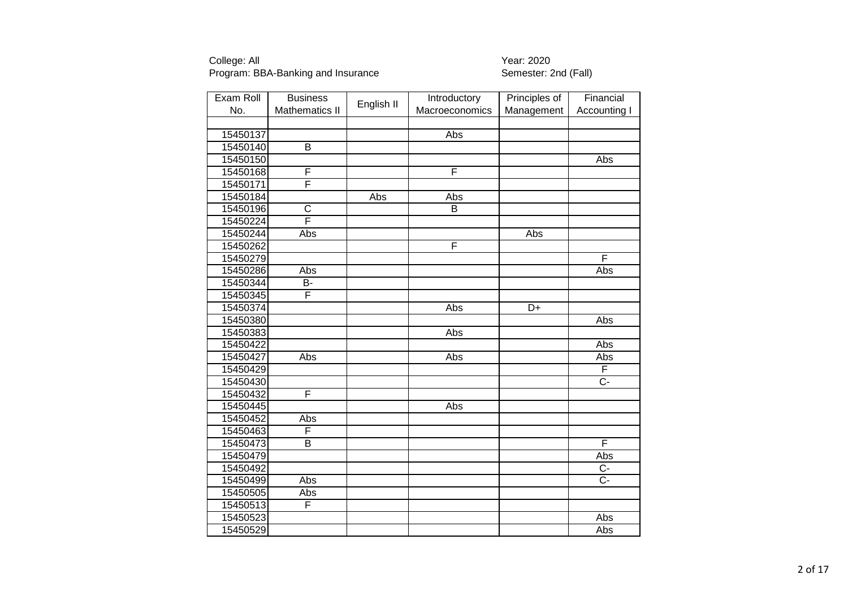| Exam Roll | <b>Business</b>         |            | Introductory            | Principles of | Financial           |
|-----------|-------------------------|------------|-------------------------|---------------|---------------------|
| No.       | <b>Mathematics II</b>   | English II | Macroeconomics          | Management    | <b>Accounting I</b> |
|           |                         |            |                         |               |                     |
| 15450137  |                         |            | Abs                     |               |                     |
| 15450140  | $\overline{B}$          |            |                         |               |                     |
| 15450150  |                         |            |                         |               | Abs                 |
| 15450168  | F                       |            | $\overline{\mathsf{F}}$ |               |                     |
| 15450171  | F                       |            |                         |               |                     |
| 15450184  |                         | Abs        | Abs                     |               |                     |
| 15450196  | $\mathsf C$             |            | B                       |               |                     |
| 15450224  | $\overline{\mathsf{F}}$ |            |                         |               |                     |
| 15450244  | Abs                     |            |                         | Abs           |                     |
| 15450262  |                         |            | F                       |               |                     |
| 15450279  |                         |            |                         |               | F                   |
| 15450286  | Abs                     |            |                         |               | Abs                 |
| 15450344  | B-                      |            |                         |               |                     |
| 15450345  | F                       |            |                         |               |                     |
| 15450374  |                         |            | Abs                     | D+            |                     |
| 15450380  |                         |            |                         |               | Abs                 |
| 15450383  |                         |            | Abs                     |               |                     |
| 15450422  |                         |            |                         |               | Abs                 |
| 15450427  | Abs                     |            | Abs                     |               | Abs                 |
| 15450429  |                         |            |                         |               | F                   |
| 15450430  |                         |            |                         |               | $\overline{C}$ -    |
| 15450432  | F                       |            |                         |               |                     |
| 15450445  |                         |            | Abs                     |               |                     |
| 15450452  | Abs                     |            |                         |               |                     |
| 15450463  | F                       |            |                         |               |                     |
| 15450473  | B                       |            |                         |               | F                   |
| 15450479  |                         |            |                         |               | Abs                 |
| 15450492  |                         |            |                         |               | $\overline{C}$      |
| 15450499  | Abs                     |            |                         |               | $\overline{C}$ -    |
| 15450505  | Abs                     |            |                         |               |                     |
| 15450513  | F                       |            |                         |               |                     |
| 15450523  |                         |            |                         |               | <b>Abs</b>          |
| 15450529  |                         |            |                         |               | Abs                 |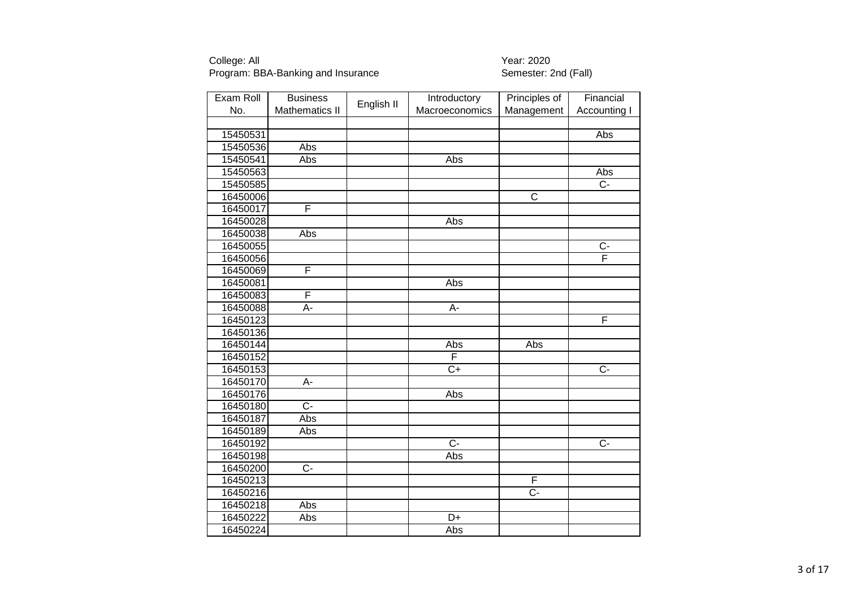| Exam Roll | <b>Business</b>       |            | Introductory    | Principles of           | Financial               |
|-----------|-----------------------|------------|-----------------|-------------------------|-------------------------|
| No.       | <b>Mathematics II</b> | English II | Macroeconomics  | Management              | <b>Accounting I</b>     |
|           |                       |            |                 |                         |                         |
| 15450531  |                       |            |                 |                         | Abs                     |
| 15450536  | Abs                   |            |                 |                         |                         |
| 15450541  | Abs                   |            | Abs             |                         |                         |
| 15450563  |                       |            |                 |                         | Abs                     |
| 15450585  |                       |            |                 |                         | $\overline{C}$ -        |
| 16450006  |                       |            |                 | $\overline{\mathsf{C}}$ |                         |
| 16450017  | F                     |            |                 |                         |                         |
| 16450028  |                       |            | Abs             |                         |                         |
| 16450038  | Abs                   |            |                 |                         |                         |
| 16450055  |                       |            |                 |                         | $\overline{C}$          |
| 16450056  |                       |            |                 |                         | $\overline{\mathsf{F}}$ |
| 16450069  | F                     |            |                 |                         |                         |
| 16450081  |                       |            | Abs             |                         |                         |
| 16450083  | F                     |            |                 |                         |                         |
| 16450088  | A-                    |            | A-              |                         |                         |
| 16450123  |                       |            |                 |                         | F                       |
| 16450136  |                       |            |                 |                         |                         |
| 16450144  |                       |            | Abs             | Abs                     |                         |
| 16450152  |                       |            | F               |                         |                         |
| 16450153  |                       |            | $\overline{C+}$ |                         | $\overline{C}$ -        |
| 16450170  | $\overline{A}$ -      |            |                 |                         |                         |
| 16450176  |                       |            | Abs             |                         |                         |
| 16450180  | $\overline{C}$ -      |            |                 |                         |                         |
| 16450187  | Abs                   |            |                 |                         |                         |
| 16450189  | Abs                   |            |                 |                         |                         |
| 16450192  |                       |            | $\overline{C}$  |                         | $\overline{C}$          |
| 16450198  |                       |            | Abs             |                         |                         |
| 16450200  | $\overline{C}$        |            |                 |                         |                         |
| 16450213  |                       |            |                 | F                       |                         |
| 16450216  |                       |            |                 | $\overline{C}$          |                         |
| 16450218  | Abs                   |            |                 |                         |                         |
| 16450222  | Abs                   |            | $\overline{D+}$ |                         |                         |
| 16450224  |                       |            | Abs             |                         |                         |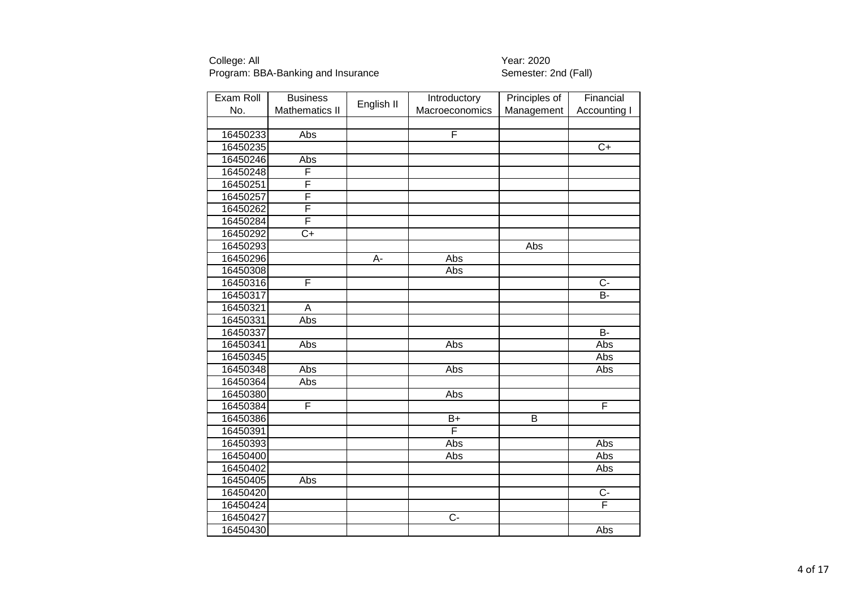| Exam Roll | <b>Business</b>       |            | Introductory     | Principles of | Financial           |
|-----------|-----------------------|------------|------------------|---------------|---------------------|
| No.       | <b>Mathematics II</b> | English II | Macroeconomics   | Management    | <b>Accounting I</b> |
|           |                       |            |                  |               |                     |
| 16450233  | Abs                   |            | F                |               |                     |
| 16450235  |                       |            |                  |               | $\overline{C+}$     |
| 16450246  | Abs                   |            |                  |               |                     |
| 16450248  | F                     |            |                  |               |                     |
| 16450251  | F                     |            |                  |               |                     |
| 16450257  | F                     |            |                  |               |                     |
| 16450262  | F                     |            |                  |               |                     |
| 16450284  | F                     |            |                  |               |                     |
| 16450292  | $\overline{C+}$       |            |                  |               |                     |
| 16450293  |                       |            |                  | Abs           |                     |
| 16450296  |                       | A-         | Abs              |               |                     |
| 16450308  |                       |            | Abs              |               |                     |
| 16450316  | F                     |            |                  |               | $\overline{C}$      |
| 16450317  |                       |            |                  |               | <b>B-</b>           |
| 16450321  | A                     |            |                  |               |                     |
| 16450331  | Abs                   |            |                  |               |                     |
| 16450337  |                       |            |                  |               | B-                  |
| 16450341  | Abs                   |            | Abs              |               | Abs                 |
| 16450345  |                       |            |                  |               | Abs                 |
| 16450348  | Abs                   |            | Abs              |               | Abs                 |
| 16450364  | Abs                   |            |                  |               |                     |
| 16450380  |                       |            | Abs              |               |                     |
| 16450384  | F                     |            |                  |               | F                   |
| 16450386  |                       |            | $B+$             | B             |                     |
| 16450391  |                       |            | F                |               |                     |
| 16450393  |                       |            | Abs              |               | Abs                 |
| 16450400  |                       |            | Abs              |               | Abs                 |
| 16450402  |                       |            |                  |               | Abs                 |
| 16450405  | Abs                   |            |                  |               |                     |
| 16450420  |                       |            |                  |               | $C -$               |
| 16450424  |                       |            |                  |               | F                   |
| 16450427  |                       |            | $\overline{C}$ - |               |                     |
| 16450430  |                       |            |                  |               | Abs                 |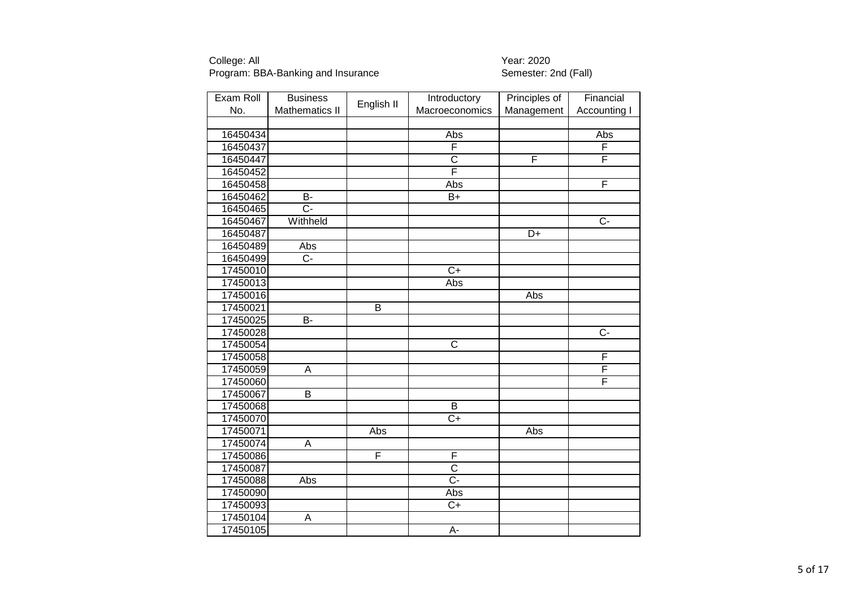| Exam Roll | <b>Business</b>         |            | Introductory          | Principles of | Financial           |
|-----------|-------------------------|------------|-----------------------|---------------|---------------------|
| No.       | <b>Mathematics II</b>   | English II | Macroeconomics        | Management    | <b>Accounting I</b> |
|           |                         |            |                       |               |                     |
| 16450434  |                         |            | Abs                   |               | Abs                 |
| 16450437  |                         |            | F                     |               | F                   |
| 16450447  |                         |            | $\overline{\text{c}}$ | F             | F                   |
| 16450452  |                         |            | F                     |               |                     |
| 16450458  |                         |            | Abs                   |               | F                   |
| 16450462  | B-                      |            | $B+$                  |               |                     |
| 16450465  | $\overline{C}$ -        |            |                       |               |                     |
| 16450467  | Withheld                |            |                       |               | $\overline{C}$      |
| 16450487  |                         |            |                       | D+            |                     |
| 16450489  | Abs                     |            |                       |               |                     |
| 16450499  | $\overline{C}$          |            |                       |               |                     |
| 17450010  |                         |            | $\overline{C+}$       |               |                     |
| 17450013  |                         |            | Abs                   |               |                     |
| 17450016  |                         |            |                       | Abs           |                     |
| 17450021  |                         | B          |                       |               |                     |
| 17450025  | $\overline{B}$          |            |                       |               |                     |
| 17450028  |                         |            |                       |               | $\overline{C}$      |
| 17450054  |                         |            | $\overline{\text{c}}$ |               |                     |
| 17450058  |                         |            |                       |               | F                   |
| 17450059  | $\overline{A}$          |            |                       |               | F                   |
| 17450060  |                         |            |                       |               | F                   |
| 17450067  | B                       |            |                       |               |                     |
| 17450068  |                         |            | $\overline{B}$        |               |                     |
| 17450070  |                         |            | $\overline{C+}$       |               |                     |
| 17450071  |                         | Abs        |                       | Abs           |                     |
| 17450074  | A                       |            |                       |               |                     |
| 17450086  |                         | F          | F                     |               |                     |
| 17450087  |                         |            | $\overline{\text{c}}$ |               |                     |
| 17450088  | Abs                     |            | $\overline{C}$ -      |               |                     |
| 17450090  |                         |            | Abs                   |               |                     |
| 17450093  |                         |            | $C+$                  |               |                     |
| 17450104  | $\overline{\mathsf{A}}$ |            |                       |               |                     |
| 17450105  |                         |            | A-                    |               |                     |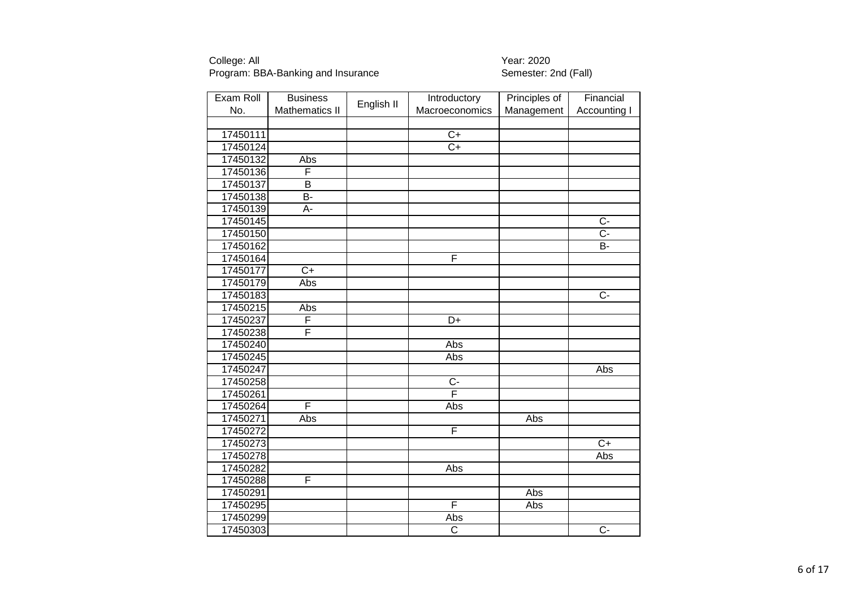| Exam Roll | <b>Business</b>         | English II | Introductory            | Principles of | Financial           |
|-----------|-------------------------|------------|-------------------------|---------------|---------------------|
| No.       | <b>Mathematics II</b>   |            | Macroeconomics          | Management    | <b>Accounting I</b> |
|           |                         |            |                         |               |                     |
| 17450111  |                         |            | $\overline{C+}$         |               |                     |
| 17450124  |                         |            | $\overline{C+}$         |               |                     |
| 17450132  | Abs                     |            |                         |               |                     |
| 17450136  | F                       |            |                         |               |                     |
| 17450137  | $\overline{\mathsf{B}}$ |            |                         |               |                     |
| 17450138  | $\overline{B}$ -        |            |                         |               |                     |
| 17450139  | A-                      |            |                         |               |                     |
| 17450145  |                         |            |                         |               | $\overline{C}$      |
| 17450150  |                         |            |                         |               | C-                  |
| 17450162  |                         |            |                         |               | <b>B-</b>           |
| 17450164  |                         |            | F                       |               |                     |
| 17450177  | $\overline{C+}$         |            |                         |               |                     |
| 17450179  | Abs                     |            |                         |               |                     |
| 17450183  |                         |            |                         |               | $\overline{C}$ -    |
| 17450215  | Abs                     |            |                         |               |                     |
| 17450237  | F                       |            | D+                      |               |                     |
| 17450238  | F                       |            |                         |               |                     |
| 17450240  |                         |            | Abs                     |               |                     |
| 17450245  |                         |            | Abs                     |               |                     |
| 17450247  |                         |            |                         |               | Abs                 |
| 17450258  |                         |            | $\overline{C}$          |               |                     |
| 17450261  |                         |            | $\overline{\mathsf{F}}$ |               |                     |
| 17450264  | F                       |            | Abs                     |               |                     |
| 17450271  | Abs                     |            |                         | Abs           |                     |
| 17450272  |                         |            | $\overline{\mathsf{F}}$ |               |                     |
| 17450273  |                         |            |                         |               | $\overline{C+}$     |
| 17450278  |                         |            |                         |               | Abs                 |
| 17450282  |                         |            | Abs                     |               |                     |
| 17450288  | F                       |            |                         |               |                     |
| 17450291  |                         |            |                         | Abs           |                     |
| 17450295  |                         |            | F                       | Abs           |                     |
| 17450299  |                         |            | Abs                     |               |                     |
| 17450303  |                         |            | C                       |               | $\overline{C}$      |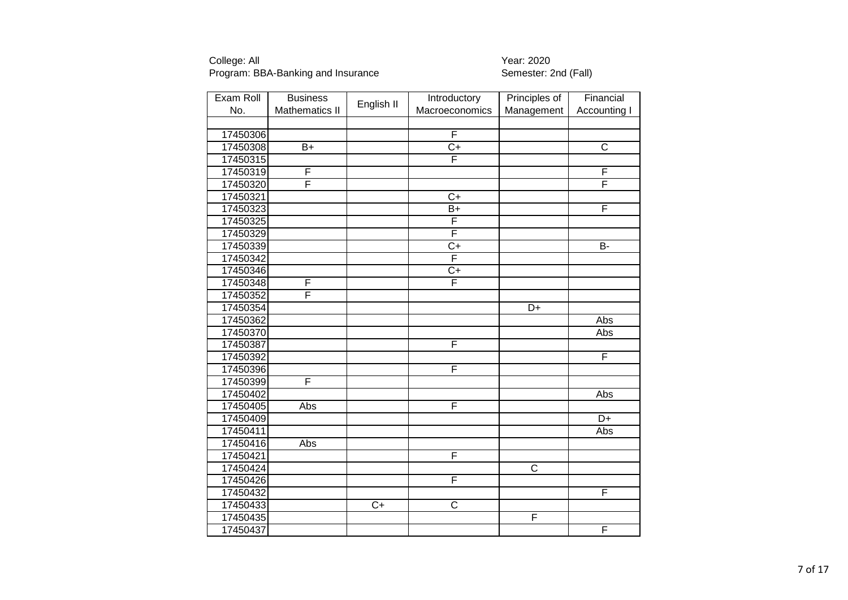| Exam Roll | <b>Business</b>       |            | Introductory          | Principles of         | Financial               |
|-----------|-----------------------|------------|-----------------------|-----------------------|-------------------------|
| No.       | <b>Mathematics II</b> | English II | Macroeconomics        | Management            | Accounting I            |
|           |                       |            |                       |                       |                         |
| 17450306  |                       |            | F                     |                       |                         |
| 17450308  | B+                    |            | $\overline{C}$        |                       | $\overline{C}$          |
| 17450315  |                       |            | F                     |                       |                         |
| 17450319  | F                     |            |                       |                       | F                       |
| 17450320  | F                     |            |                       |                       | F                       |
| 17450321  |                       |            | $\overline{C}$        |                       |                         |
| 17450323  |                       |            | $B+$                  |                       | $\overline{\mathsf{F}}$ |
| 17450325  |                       |            | F                     |                       |                         |
| 17450329  |                       |            | F                     |                       |                         |
| 17450339  |                       |            | $\overline{C+}$       |                       | <b>B-</b>               |
| 17450342  |                       |            | F                     |                       |                         |
| 17450346  |                       |            | $\overline{C+}$       |                       |                         |
| 17450348  | F                     |            | F                     |                       |                         |
| 17450352  | F                     |            |                       |                       |                         |
| 17450354  |                       |            |                       | D+                    |                         |
| 17450362  |                       |            |                       |                       | Abs                     |
| 17450370  |                       |            |                       |                       | Abs                     |
| 17450387  |                       |            | F                     |                       |                         |
| 17450392  |                       |            |                       |                       | F                       |
| 17450396  |                       |            | F                     |                       |                         |
| 17450399  | F                     |            |                       |                       |                         |
| 17450402  |                       |            |                       |                       | Abs                     |
| 17450405  | <b>Abs</b>            |            | F                     |                       |                         |
| 17450409  |                       |            |                       |                       | D+                      |
| 17450411  |                       |            |                       |                       | Abs                     |
| 17450416  | Abs                   |            |                       |                       |                         |
| 17450421  |                       |            | F                     |                       |                         |
| 17450424  |                       |            |                       | $\overline{\text{C}}$ |                         |
| 17450426  |                       |            | F                     |                       |                         |
| 17450432  |                       |            |                       |                       | F                       |
| 17450433  |                       | $C+$       | $\overline{\text{C}}$ |                       |                         |
| 17450435  |                       |            |                       | F                     |                         |
| 17450437  |                       |            |                       |                       | F                       |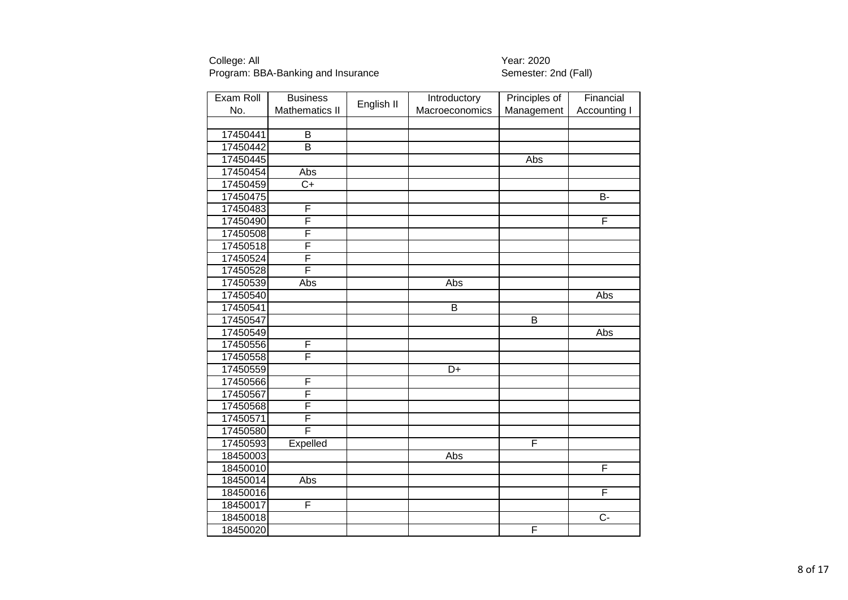| Exam Roll | <b>Business</b>         |            | Introductory    | Principles of  | Financial           |
|-----------|-------------------------|------------|-----------------|----------------|---------------------|
| No.       | <b>Mathematics II</b>   | English II | Macroeconomics  | Management     | <b>Accounting I</b> |
|           |                         |            |                 |                |                     |
| 17450441  | B                       |            |                 |                |                     |
| 17450442  | $\overline{\mathsf{B}}$ |            |                 |                |                     |
| 17450445  |                         |            |                 | Abs            |                     |
| 17450454  | Abs                     |            |                 |                |                     |
| 17450459  | $\overline{C}$          |            |                 |                |                     |
| 17450475  |                         |            |                 |                | $\overline{B}$      |
| 17450483  | F                       |            |                 |                |                     |
| 17450490  | $\overline{\mathsf{F}}$ |            |                 |                | F                   |
| 17450508  | F                       |            |                 |                |                     |
| 17450518  | F                       |            |                 |                |                     |
| 17450524  | F                       |            |                 |                |                     |
| 17450528  | F                       |            |                 |                |                     |
| 17450539  | Abs                     |            | Abs             |                |                     |
| 17450540  |                         |            |                 |                | Abs                 |
| 17450541  |                         |            | B               |                |                     |
| 17450547  |                         |            |                 | $\overline{B}$ |                     |
| 17450549  |                         |            |                 |                | Abs                 |
| 17450556  | F                       |            |                 |                |                     |
| 17450558  | F                       |            |                 |                |                     |
| 17450559  |                         |            | $\overline{D+}$ |                |                     |
| 17450566  | F                       |            |                 |                |                     |
| 17450567  | F                       |            |                 |                |                     |
| 17450568  | F                       |            |                 |                |                     |
| 17450571  | F                       |            |                 |                |                     |
| 17450580  | F                       |            |                 |                |                     |
| 17450593  | Expelled                |            |                 | F              |                     |
| 18450003  |                         |            | Abs             |                |                     |
| 18450010  |                         |            |                 |                | F                   |
| 18450014  | Abs                     |            |                 |                |                     |
| 18450016  |                         |            |                 |                | F                   |
| 18450017  | F                       |            |                 |                |                     |
| 18450018  |                         |            |                 |                | $\overline{C}$ -    |
| 18450020  |                         |            |                 | F              |                     |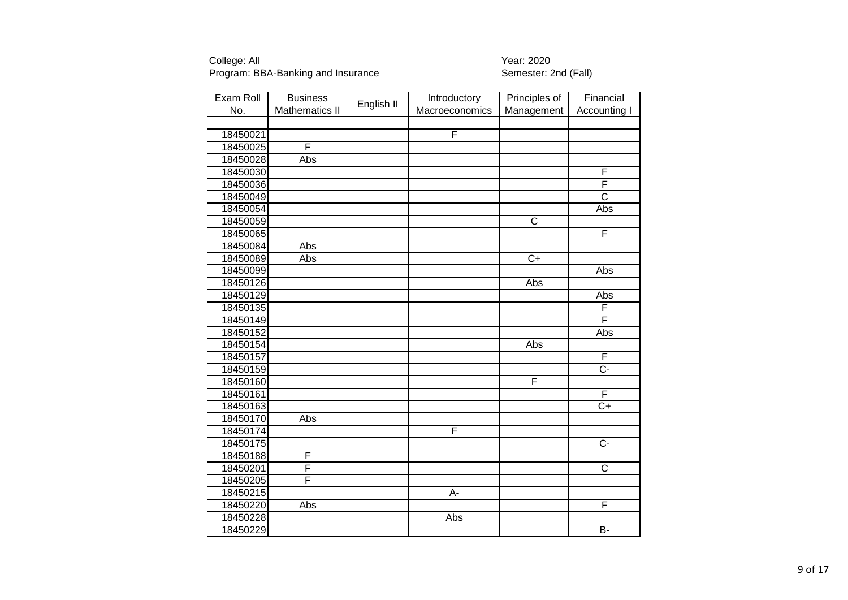| Exam Roll | <b>Business</b>       |            | Introductory   | Principles of           | Financial             |
|-----------|-----------------------|------------|----------------|-------------------------|-----------------------|
| No.       | <b>Mathematics II</b> | English II | Macroeconomics | Management              | Accounting I          |
|           |                       |            |                |                         |                       |
| 18450021  |                       |            | F              |                         |                       |
| 18450025  | F                     |            |                |                         |                       |
| 18450028  | Abs                   |            |                |                         |                       |
| 18450030  |                       |            |                |                         | F                     |
| 18450036  |                       |            |                |                         | F                     |
| 18450049  |                       |            |                |                         | $\overline{\text{c}}$ |
| 18450054  |                       |            |                |                         | Abs                   |
| 18450059  |                       |            |                | $\overline{\mathsf{C}}$ |                       |
| 18450065  |                       |            |                |                         | F                     |
| 18450084  | Abs                   |            |                |                         |                       |
| 18450089  | Abs                   |            |                | $\overline{C+}$         |                       |
| 18450099  |                       |            |                |                         | Abs                   |
| 18450126  |                       |            |                | Abs                     |                       |
| 18450129  |                       |            |                |                         | Abs                   |
| 18450135  |                       |            |                |                         | F                     |
| 18450149  |                       |            |                |                         | F                     |
| 18450152  |                       |            |                |                         | Abs                   |
| 18450154  |                       |            |                | Abs                     |                       |
| 18450157  |                       |            |                |                         | F                     |
| 18450159  |                       |            |                |                         | $\overline{C}$ -      |
| 18450160  |                       |            |                | F                       |                       |
| 18450161  |                       |            |                |                         | F                     |
| 18450163  |                       |            |                |                         | $\overline{C+}$       |
| 18450170  | Abs                   |            |                |                         |                       |
| 18450174  |                       |            | $\overline{F}$ |                         |                       |
| 18450175  |                       |            |                |                         | $\overline{C}$ -      |
| 18450188  | F                     |            |                |                         |                       |
| 18450201  | F                     |            |                |                         | $\overline{C}$        |
| 18450205  | F                     |            |                |                         |                       |
| 18450215  |                       |            | A-             |                         |                       |
| 18450220  | Abs                   |            |                |                         | F                     |
| 18450228  |                       |            | Abs            |                         |                       |
| 18450229  |                       |            |                |                         | B-                    |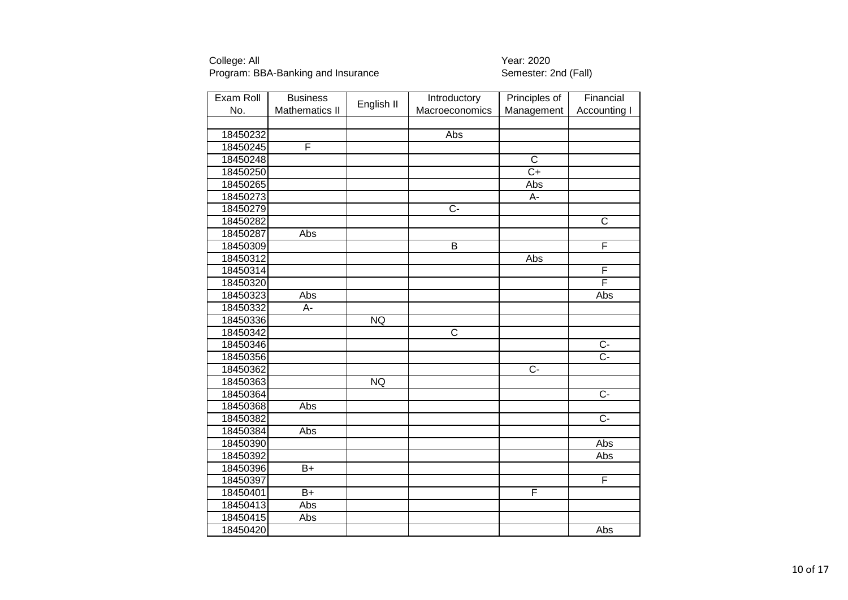| Exam Roll | <b>Business</b>       |            | Introductory          | Principles of         | Financial               |
|-----------|-----------------------|------------|-----------------------|-----------------------|-------------------------|
| No.       | <b>Mathematics II</b> | English II | Macroeconomics        | Management            | Accounting I            |
|           |                       |            |                       |                       |                         |
| 18450232  |                       |            | Abs                   |                       |                         |
| 18450245  | F                     |            |                       |                       |                         |
| 18450248  |                       |            |                       | $\overline{\text{c}}$ |                         |
| 18450250  |                       |            |                       | $\overline{C}$        |                         |
| 18450265  |                       |            |                       | Abs                   |                         |
| 18450273  |                       |            |                       | A-                    |                         |
| 18450279  |                       |            | $\overline{C}$        |                       |                         |
| 18450282  |                       |            |                       |                       | $\overline{\mathsf{C}}$ |
| 18450287  | Abs                   |            |                       |                       |                         |
| 18450309  |                       |            | B                     |                       | F                       |
| 18450312  |                       |            |                       | Abs                   |                         |
| 18450314  |                       |            |                       |                       | F                       |
| 18450320  |                       |            |                       |                       | F                       |
| 18450323  | Abs                   |            |                       |                       | <b>Abs</b>              |
| 18450332  | А-                    |            |                       |                       |                         |
| 18450336  |                       | <b>NQ</b>  |                       |                       |                         |
| 18450342  |                       |            | $\overline{\text{c}}$ |                       |                         |
| 18450346  |                       |            |                       |                       | $\overline{C}$          |
| 18450356  |                       |            |                       |                       | $\overline{C}$ -        |
| 18450362  |                       |            |                       | $\overline{C}$        |                         |
| 18450363  |                       | <b>NQ</b>  |                       |                       |                         |
| 18450364  |                       |            |                       |                       | $\overline{C}$          |
| 18450368  | Abs                   |            |                       |                       |                         |
| 18450382  |                       |            |                       |                       | $\overline{C}$          |
| 18450384  | Abs                   |            |                       |                       |                         |
| 18450390  |                       |            |                       |                       | <b>Abs</b>              |
| 18450392  |                       |            |                       |                       | Abs                     |
| 18450396  | $B+$                  |            |                       |                       |                         |
| 18450397  |                       |            |                       |                       | F                       |
| 18450401  | $B+$                  |            |                       | F                     |                         |
| 18450413  | Abs                   |            |                       |                       |                         |
| 18450415  | Abs                   |            |                       |                       |                         |
| 18450420  |                       |            |                       |                       | Abs                     |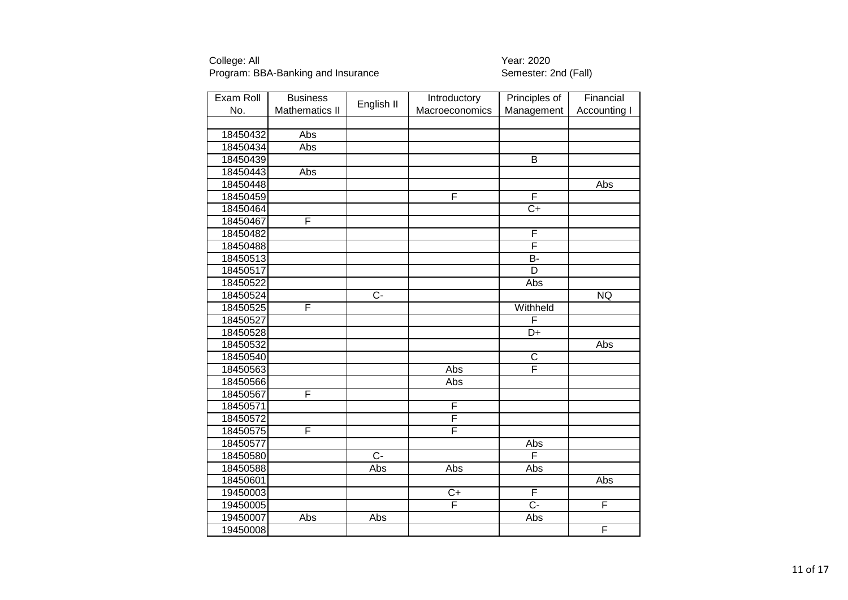| Exam Roll | <b>Business</b>       | English II       | Introductory   | Principles of   | Financial    |
|-----------|-----------------------|------------------|----------------|-----------------|--------------|
| No.       | <b>Mathematics II</b> |                  | Macroeconomics | Management      | Accounting I |
|           |                       |                  |                |                 |              |
| 18450432  | Abs                   |                  |                |                 |              |
| 18450434  | Abs                   |                  |                |                 |              |
| 18450439  |                       |                  |                | $\overline{B}$  |              |
| 18450443  | Abs                   |                  |                |                 |              |
| 18450448  |                       |                  |                |                 | Abs          |
| 18450459  |                       |                  | F              | F               |              |
| 18450464  |                       |                  |                | $C+$            |              |
| 18450467  | F                     |                  |                |                 |              |
| 18450482  |                       |                  |                | F               |              |
| 18450488  |                       |                  |                | F               |              |
| 18450513  |                       |                  |                | $\overline{B}$  |              |
| 18450517  |                       |                  |                | $\overline{D}$  |              |
| 18450522  |                       |                  |                | Abs             |              |
| 18450524  |                       | $\overline{C}$ - |                |                 | <b>NQ</b>    |
| 18450525  | F                     |                  |                | Withheld        |              |
| 18450527  |                       |                  |                | F               |              |
| 18450528  |                       |                  |                | $\overline{D+}$ |              |
| 18450532  |                       |                  |                |                 | Abs          |
| 18450540  |                       |                  |                | $\mathsf{C}$    |              |
| 18450563  |                       |                  | Abs            | F               |              |
| 18450566  |                       |                  | Abs            |                 |              |
| 18450567  | F                     |                  |                |                 |              |
| 18450571  |                       |                  | F              |                 |              |
| 18450572  |                       |                  | F              |                 |              |
| 18450575  | F                     |                  | F              |                 |              |
| 18450577  |                       |                  |                | Abs             |              |
| 18450580  |                       | $\overline{C}$ - |                | F               |              |
| 18450588  |                       | Abs              | Abs            | Abs             |              |
| 18450601  |                       |                  |                |                 | Abs          |
| 19450003  |                       |                  | $C+$           | F               |              |
| 19450005  |                       |                  | F              | $\overline{C}$  | F            |
| 19450007  | Abs                   | Abs              |                | Abs             |              |
| 19450008  |                       |                  |                |                 | F            |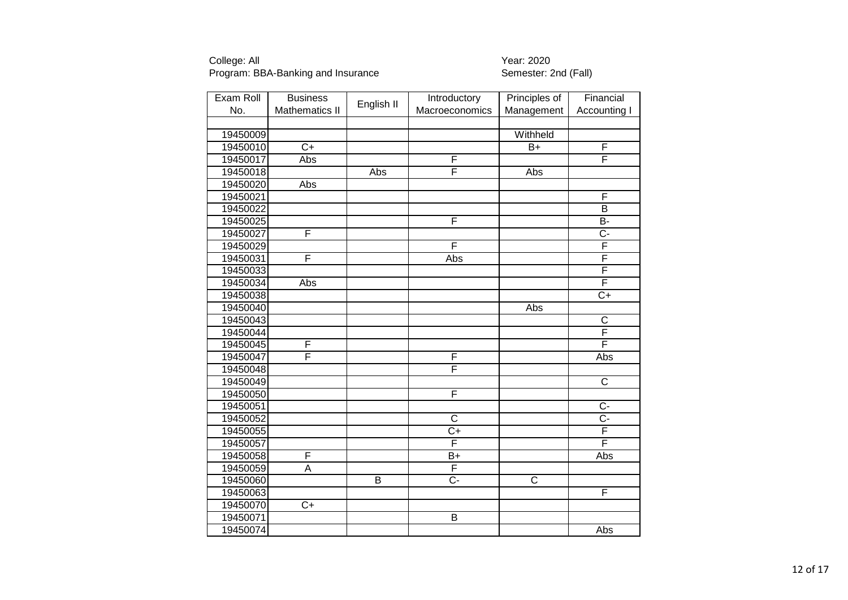| Exam Roll | <b>Business</b>       |                | Introductory            | Principles of         | Financial               |
|-----------|-----------------------|----------------|-------------------------|-----------------------|-------------------------|
| No.       | <b>Mathematics II</b> | English II     | Macroeconomics          | Management            | Accounting I            |
|           |                       |                |                         |                       |                         |
| 19450009  |                       |                |                         | Withheld              |                         |
| 19450010  | $\overline{C+}$       |                |                         | $\overline{B}$        | F                       |
| 19450017  | Abs                   |                | F                       |                       | F                       |
| 19450018  |                       | Abs            | F                       | Abs                   |                         |
| 19450020  | Abs                   |                |                         |                       |                         |
| 19450021  |                       |                |                         |                       | F                       |
| 19450022  |                       |                |                         |                       | B                       |
| 19450025  |                       |                | F                       |                       | $\overline{B}$          |
| 19450027  | F                     |                |                         |                       | $\overline{C}$ -        |
| 19450029  |                       |                | F                       |                       | F                       |
| 19450031  | F                     |                | Abs                     |                       | $\overline{\mathsf{F}}$ |
| 19450033  |                       |                |                         |                       | F                       |
| 19450034  | Abs                   |                |                         |                       | F                       |
| 19450038  |                       |                |                         |                       | $\overline{C+}$         |
| 19450040  |                       |                |                         | Abs                   |                         |
| 19450043  |                       |                |                         |                       | $\overline{\text{C}}$   |
| 19450044  |                       |                |                         |                       | F                       |
| 19450045  | F                     |                |                         |                       | F                       |
| 19450047  | F                     |                | F                       |                       | Abs                     |
| 19450048  |                       |                | F                       |                       |                         |
| 19450049  |                       |                |                         |                       | $\overline{\mathsf{C}}$ |
| 19450050  |                       |                | F                       |                       |                         |
| 19450051  |                       |                |                         |                       | $\overline{C}$          |
| 19450052  |                       |                | $\overline{C}$          |                       | $\overline{C}$ -        |
| 19450055  |                       |                | $\overline{C+}$         |                       | F                       |
| 19450057  |                       |                | F                       |                       | F                       |
| 19450058  | F                     |                | B+                      |                       | Abs                     |
| 19450059  | A                     |                | F                       |                       |                         |
| 19450060  |                       | $\overline{B}$ | $\overline{C}$ -        | $\overline{\text{C}}$ |                         |
| 19450063  |                       |                |                         |                       | F                       |
| 19450070  | $C+$                  |                |                         |                       |                         |
| 19450071  |                       |                | $\overline{\mathsf{B}}$ |                       |                         |
| 19450074  |                       |                |                         |                       | Abs                     |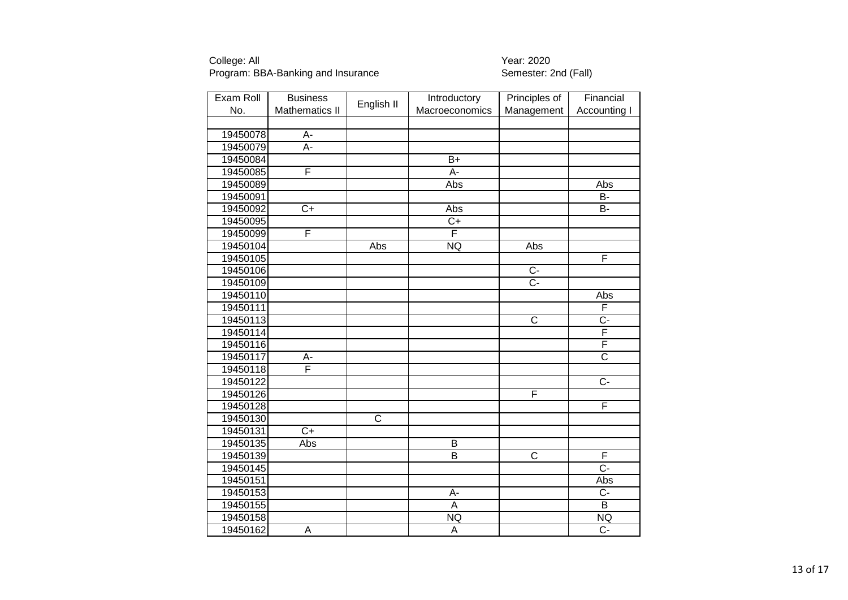| Exam Roll | <b>Business</b>       | English II              | Introductory            | Principles of           | Financial             |
|-----------|-----------------------|-------------------------|-------------------------|-------------------------|-----------------------|
| No.       | <b>Mathematics II</b> |                         | Macroeconomics          | Management              | <b>Accounting I</b>   |
|           |                       |                         |                         |                         |                       |
| 19450078  | A-                    |                         |                         |                         |                       |
| 19450079  | $A -$                 |                         |                         |                         |                       |
| 19450084  |                       |                         | $\overline{B+}$         |                         |                       |
| 19450085  | F                     |                         | A-                      |                         |                       |
| 19450089  |                       |                         | Abs                     |                         | Abs                   |
| 19450091  |                       |                         |                         |                         | $\overline{B}$        |
| 19450092  | $\overline{C}$        |                         | Abs                     |                         | $\overline{B}$        |
| 19450095  |                       |                         | $\overline{C+}$         |                         |                       |
| 19450099  | F                     |                         | F                       |                         |                       |
| 19450104  |                       | Abs                     | <b>NQ</b>               | Abs                     |                       |
| 19450105  |                       |                         |                         |                         | F                     |
| 19450106  |                       |                         |                         | $\overline{C}$          |                       |
| 19450109  |                       |                         |                         | $C -$                   |                       |
| 19450110  |                       |                         |                         |                         | Abs                   |
| 19450111  |                       |                         |                         |                         | F                     |
| 19450113  |                       |                         |                         | $\overline{\mathsf{c}}$ | $\overline{C}$ -      |
| 19450114  |                       |                         |                         |                         | F                     |
| 19450116  |                       |                         |                         |                         | F                     |
| 19450117  | A-                    |                         |                         |                         | $\overline{\text{c}}$ |
| 19450118  | Ē                     |                         |                         |                         |                       |
| 19450122  |                       |                         |                         |                         | $\overline{C}$ -      |
| 19450126  |                       |                         |                         | F                       |                       |
| 19450128  |                       |                         |                         |                         | F                     |
| 19450130  |                       | $\overline{\mathsf{C}}$ |                         |                         |                       |
| 19450131  | $\overline{C}$        |                         |                         |                         |                       |
| 19450135  | Abs                   |                         | $\overline{B}$          |                         |                       |
| 19450139  |                       |                         | $\overline{\mathsf{B}}$ | $\overline{\text{c}}$   | F                     |
| 19450145  |                       |                         |                         |                         | $\overline{C}$ -      |
| 19450151  |                       |                         |                         |                         | Abs                   |
| 19450153  |                       |                         | A-                      |                         | $\overline{C}$        |
| 19450155  |                       |                         | A                       |                         | $\overline{B}$        |
| 19450158  |                       |                         | <b>NQ</b>               |                         | NQ                    |
| 19450162  | A                     |                         | A                       |                         | $\overline{C}$        |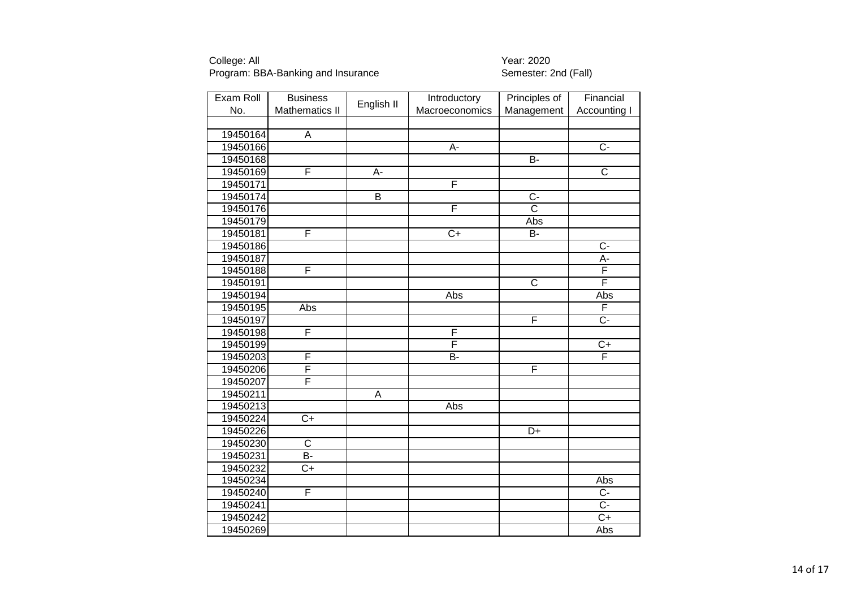| Exam Roll | <b>Business</b>       | English II  | Introductory    | Principles of         | Financial             |
|-----------|-----------------------|-------------|-----------------|-----------------------|-----------------------|
| No.       | <b>Mathematics II</b> |             | Macroeconomics  | Management            | Accounting I          |
|           |                       |             |                 |                       |                       |
| 19450164  | A                     |             |                 |                       |                       |
| 19450166  |                       |             | A-              |                       | $\overline{C}$ -      |
| 19450168  |                       |             |                 | $\overline{B}$        |                       |
| 19450169  | F                     | A-          |                 |                       | $\overline{\text{c}}$ |
| 19450171  |                       |             | F               |                       |                       |
| 19450174  |                       | B           |                 | $\overline{C}$        |                       |
| 19450176  |                       |             | F               | $\overline{\text{c}}$ |                       |
| 19450179  |                       |             |                 | Abs                   |                       |
| 19450181  | F                     |             | $\overline{C+}$ | <b>B-</b>             |                       |
| 19450186  |                       |             |                 |                       | $C -$                 |
| 19450187  |                       |             |                 |                       | A-                    |
| 19450188  | F                     |             |                 |                       | F                     |
| 19450191  |                       |             |                 | $\overline{C}$        | F                     |
| 19450194  |                       |             | Abs             |                       | Abs                   |
| 19450195  | Abs                   |             |                 |                       | F                     |
| 19450197  |                       |             |                 | F                     | $\overline{C}$ -      |
| 19450198  | F                     |             | F               |                       |                       |
| 19450199  |                       |             | F               |                       | $C+$                  |
| 19450203  | F                     |             | B-              |                       | F                     |
| 19450206  | F                     |             |                 | F                     |                       |
| 19450207  | F                     |             |                 |                       |                       |
| 19450211  |                       | $\mathsf A$ |                 |                       |                       |
| 19450213  |                       |             | Abs             |                       |                       |
| 19450224  | $C+$                  |             |                 |                       |                       |
| 19450226  |                       |             |                 | D+                    |                       |
| 19450230  | $\overline{\text{c}}$ |             |                 |                       |                       |
| 19450231  | $B -$                 |             |                 |                       |                       |
| 19450232  | $C+$                  |             |                 |                       |                       |
| 19450234  |                       |             |                 |                       | Abs                   |
| 19450240  | F                     |             |                 |                       | $\overline{C}$        |
| 19450241  |                       |             |                 |                       | $\overline{C}$        |
| 19450242  |                       |             |                 |                       | $\overline{C+}$       |
| 19450269  |                       |             |                 |                       | Abs                   |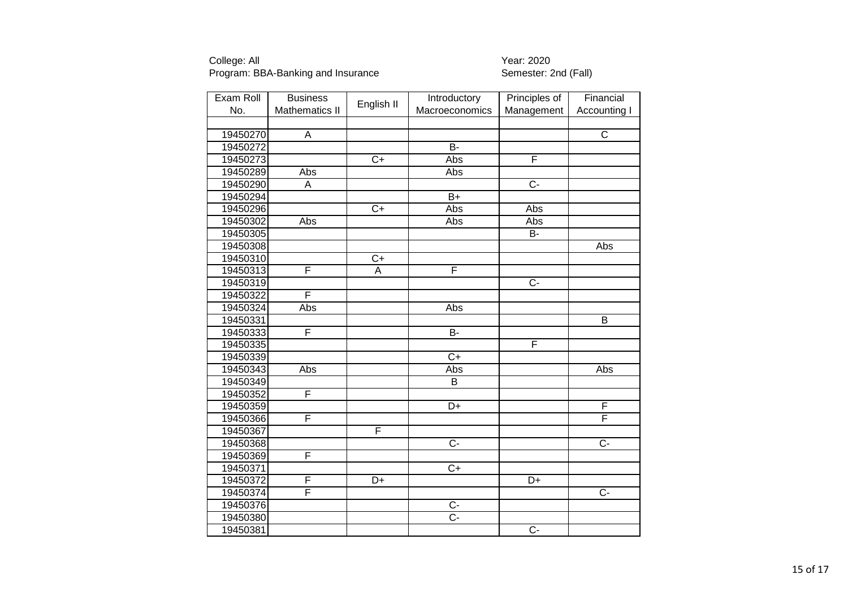| Exam Roll | <b>Business</b>         |                 | Introductory     | Principles of   | Financial           |
|-----------|-------------------------|-----------------|------------------|-----------------|---------------------|
| No.       | <b>Mathematics II</b>   | English II      | Macroeconomics   | Management      | <b>Accounting I</b> |
|           |                         |                 |                  |                 |                     |
| 19450270  | A                       |                 |                  |                 | C                   |
| 19450272  |                         |                 | $\overline{B}$   |                 |                     |
| 19450273  |                         | $\overline{C+}$ | Abs              | F               |                     |
| 19450289  | Abs                     |                 | Abs              |                 |                     |
| 19450290  | A                       |                 |                  | $\overline{C}$  |                     |
| 19450294  |                         |                 | $\overline{B+}$  |                 |                     |
| 19450296  |                         | $\overline{C+}$ | Abs              | Abs             |                     |
| 19450302  | Abs                     |                 | Abs              | Abs             |                     |
| 19450305  |                         |                 |                  | B-              |                     |
| 19450308  |                         |                 |                  |                 | Abs                 |
| 19450310  |                         | $\overline{C+}$ |                  |                 |                     |
| 19450313  | F                       | $\overline{A}$  | F                |                 |                     |
| 19450319  |                         |                 |                  | $C -$           |                     |
| 19450322  | F                       |                 |                  |                 |                     |
| 19450324  | Abs                     |                 | Abs              |                 |                     |
| 19450331  |                         |                 |                  |                 | B                   |
| 19450333  | F                       |                 | B-               |                 |                     |
| 19450335  |                         |                 |                  | F               |                     |
| 19450339  |                         |                 | $\overline{C}$   |                 |                     |
| 19450343  | Abs                     |                 | Abs              |                 | Abs                 |
| 19450349  |                         |                 | B                |                 |                     |
| 19450352  | F                       |                 |                  |                 |                     |
| 19450359  |                         |                 | $\overline{D+}$  |                 | F                   |
| 19450366  | $\overline{\mathsf{F}}$ |                 |                  |                 | F                   |
| 19450367  |                         | F               |                  |                 |                     |
| 19450368  |                         |                 | $\overline{C}$ - |                 | $\overline{C}$ -    |
| 19450369  | F                       |                 |                  |                 |                     |
| 19450371  |                         |                 | $\overline{C+}$  |                 |                     |
| 19450372  | F                       | $\overline{D+}$ |                  | $\overline{D+}$ |                     |
| 19450374  | F                       |                 |                  |                 | $\overline{C}$ -    |
| 19450376  |                         |                 | $\overline{C}$   |                 |                     |
| 19450380  |                         |                 | $\overline{C}$ - |                 |                     |
| 19450381  |                         |                 |                  | $\overline{C}$  |                     |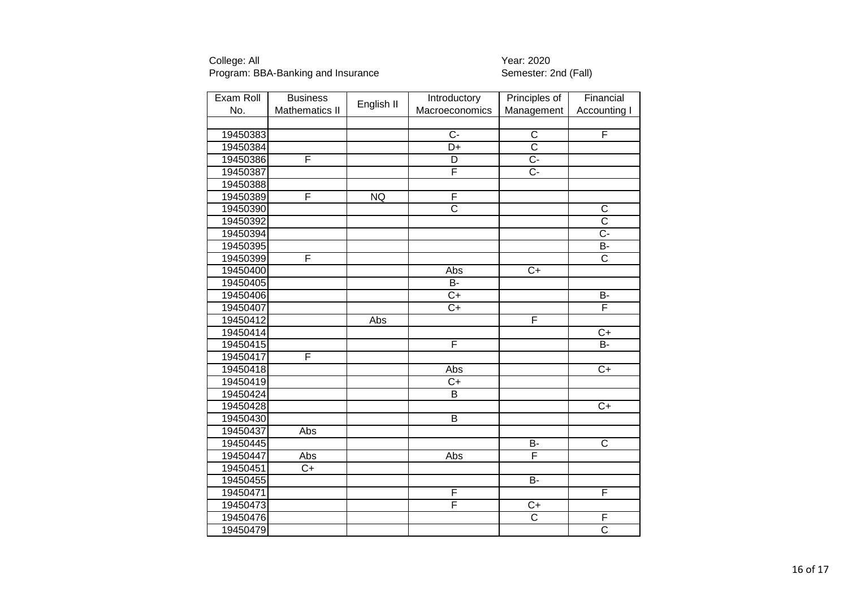| Exam Roll | <b>Business</b>       | English II | Introductory            | Principles of         | Financial               |
|-----------|-----------------------|------------|-------------------------|-----------------------|-------------------------|
| No.       | <b>Mathematics II</b> |            | Macroeconomics          | Management            | <b>Accounting I</b>     |
|           |                       |            |                         |                       |                         |
| 19450383  |                       |            | $C -$                   | C                     | F                       |
| 19450384  |                       |            | $\overline{D+}$         | $\overline{\text{c}}$ |                         |
| 19450386  | F                     |            | D                       | $\overline{C}$ -      |                         |
| 19450387  |                       |            | $\overline{\mathsf{F}}$ | $\overline{C}$        |                         |
| 19450388  |                       |            |                         |                       |                         |
| 19450389  | F                     | <b>NQ</b>  | F                       |                       |                         |
| 19450390  |                       |            | $\overline{\text{c}}$   |                       | $\mathsf C$             |
| 19450392  |                       |            |                         |                       | $\overline{\text{c}}$   |
| 19450394  |                       |            |                         |                       | $\overline{C}$          |
| 19450395  |                       |            |                         |                       | B-                      |
| 19450399  | F                     |            |                         |                       | $\overline{\text{c}}$   |
| 19450400  |                       |            | Abs                     | $\overline{C}$        |                         |
| 19450405  |                       |            | B-                      |                       |                         |
| 19450406  |                       |            | $\overline{C}$          |                       | $\overline{B}$          |
| 19450407  |                       |            | $C+$                    |                       | F                       |
| 19450412  |                       | Abs        |                         | F                     |                         |
| 19450414  |                       |            |                         |                       | $\overline{C+}$         |
| 19450415  |                       |            | F                       |                       | B-                      |
| 19450417  | F                     |            |                         |                       |                         |
| 19450418  |                       |            | Abs                     |                       | $\overline{C+}$         |
| 19450419  |                       |            | $\overline{C}$          |                       |                         |
| 19450424  |                       |            | B                       |                       |                         |
| 19450428  |                       |            |                         |                       | $\overline{C+}$         |
| 19450430  |                       |            | $\overline{B}$          |                       |                         |
| 19450437  | Abs                   |            |                         |                       |                         |
| 19450445  |                       |            |                         | $\overline{B}$        | $\overline{\mathsf{C}}$ |
| 19450447  | Abs                   |            | Abs                     | F                     |                         |
| 19450451  | $C+$                  |            |                         |                       |                         |
| 19450455  |                       |            |                         | $\overline{B}$        |                         |
| 19450471  |                       |            | F                       |                       | F                       |
| 19450473  |                       |            | F                       | $C+$                  |                         |
| 19450476  |                       |            |                         | $\overline{\text{c}}$ | F                       |
| 19450479  |                       |            |                         |                       | $\overline{\text{c}}$   |